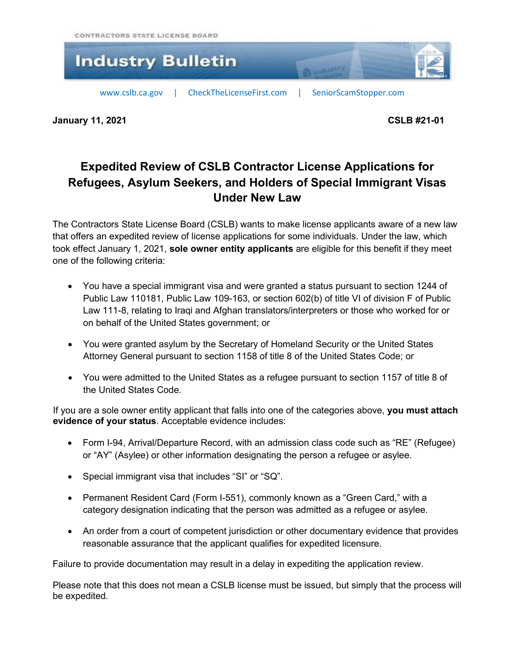

**January 11, 2021 CSLB #21-01**

## **Expedited Review of CSLB Contractor License Applications for Refugees, Asylum Seekers, and Holders of Special Immigrant Visas Under New Law**

The Contractors State License Board (CSLB) wants to make license applicants aware of a new law that offers an expedited review of license applications for some individuals. Under the law, which took effect January 1, 2021, **sole owner entity applicants** are eligible for this benefit if they meet one of the following criteria:

- You have a special immigrant visa and were granted a status pursuant to section 1244 of Public Law 110181, Public Law 109-163, or section 602(b) of title VI of division F of Public Law 111-8, relating to Iraqi and Afghan translators/interpreters or those who worked for or on behalf of the United States government; or
- You were granted asylum by the Secretary of Homeland Security or the United States Attorney General pursuant to section 1158 of title 8 of the United States Code; or
- You were admitted to the United States as a refugee pursuant to section 1157 of title 8 of the United States Code.

If you are a sole owner entity applicant that falls into one of the categories above, **you must attach evidence of your status**. Acceptable evidence includes:

- Form I-94, Arrival/Departure Record, with an admission class code such as "RE" (Refugee) or "AY" (Asylee) or other information designating the person a refugee or asylee.
- Special immigrant visa that includes "SI" or "SQ".
- Permanent Resident Card (Form I-551), commonly known as a "Green Card," with a category designation indicating that the person was admitted as a refugee or asylee.
- An order from a court of competent jurisdiction or other documentary evidence that provides reasonable assurance that the applicant qualifies for expedited licensure.

Failure to provide documentation may result in a delay in expediting the application review.

Please note that this does not mean a CSLB license must be issued, but simply that the process will be expedited.